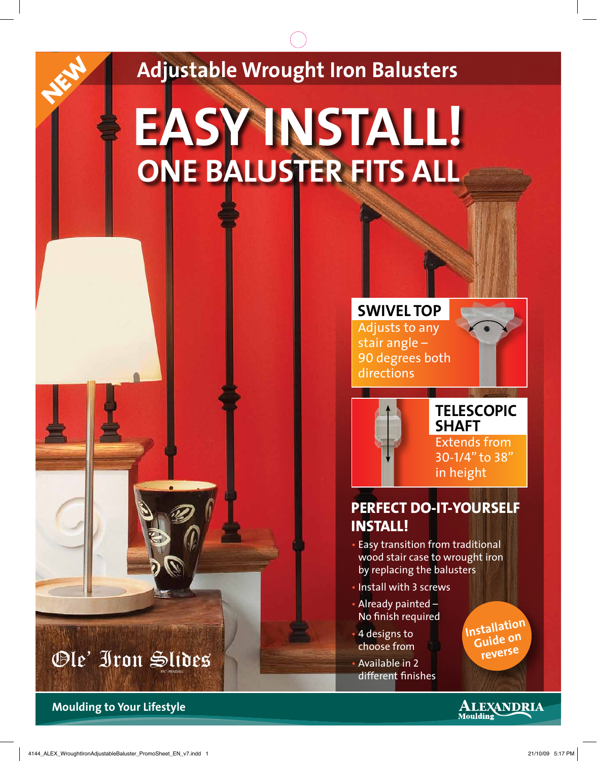#### **Adjustable Wrought Iron Balusters**

### **EASY INSTALL! ONE BALUSTER FITS ALL**

**SwivEl top** Adjusts to any stair angle – 90 degrees both directions



#### **Telescopic shaft**

Extends from 30-1/4" to 38" in height

#### **Perfect do-it-yourself install!**

- Easy transition from traditional wood stair case to wrought iron by replacing the balusters
- Install with 3 screws
- Already painted No finish required
- 4 designs to choose from
- Available in 2 different finishes

**Installation Guide on reverse**



**Moulding to Your Lifestyle**

Ole' Iron Slides

**NEW**